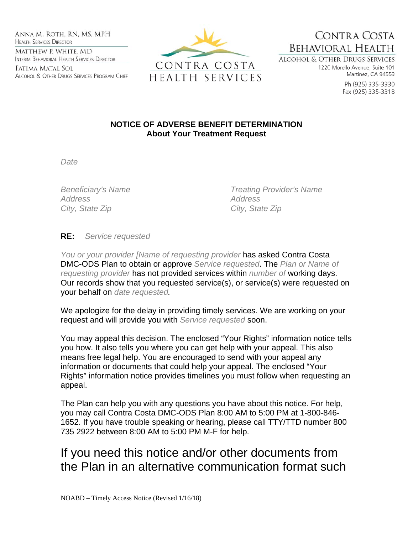Anna M. Roth, RN, MS, MPH **HEALTH SERVICES DIRECTOR** MATTHEW P. WHITE, MD INTERIM BEHAVIORAL HEALTH SERVICES DIRECTOR

Fatima Matal Sol ALCOHOL & OTHER DRUGS SERVICES PROGRAM CHIEF



**BEHAVIORAL HEALTH ALCOHOL & OTHER DRUGS SERVICES** 

1220 Morello Avenue, Suite 101 Martinez, CA 94553

CONTRA COSTA

Ph (925) 335-3330 Fax (925) 335-3318

## **NOTICE OF ADVERSE BENEFIT DETERMINATION About Your Treatment Request**

*Date* 

*Address Address City, State Zip City, State Zip* 

*Beneficiary's Name Treating Provider's Name* 

## **RE:** *Service requested*

*You or your provider [Name of requesting provider* has asked Contra Costa DMC-ODS Plan to obtain or approve *Service requested*. The *Plan or Name of requesting provider* has not provided services within *number of* working days. Our records show that you requested service(s), or service(s) were requested on your behalf on *date requested.* 

We apologize for the delay in providing timely services. We are working on your request and will provide you with *Service requested* soon.

You may appeal this decision. The enclosed "Your Rights" information notice tells you how. It also tells you where you can get help with your appeal. This also means free legal help. You are encouraged to send with your appeal any information or documents that could help your appeal. The enclosed "Your Rights" information notice provides timelines you must follow when requesting an appeal.

The Plan can help you with any questions you have about this notice. For help, you may call Contra Costa DMC-ODS Plan 8:00 AM to 5:00 PM at 1-800-846- 1652. If you have trouble speaking or hearing, please call TTY/TTD number 800 735 2922 between 8:00 AM to 5:00 PM M-F for help.

## If you need this notice and/or other documents from the Plan in an alternative communication format such